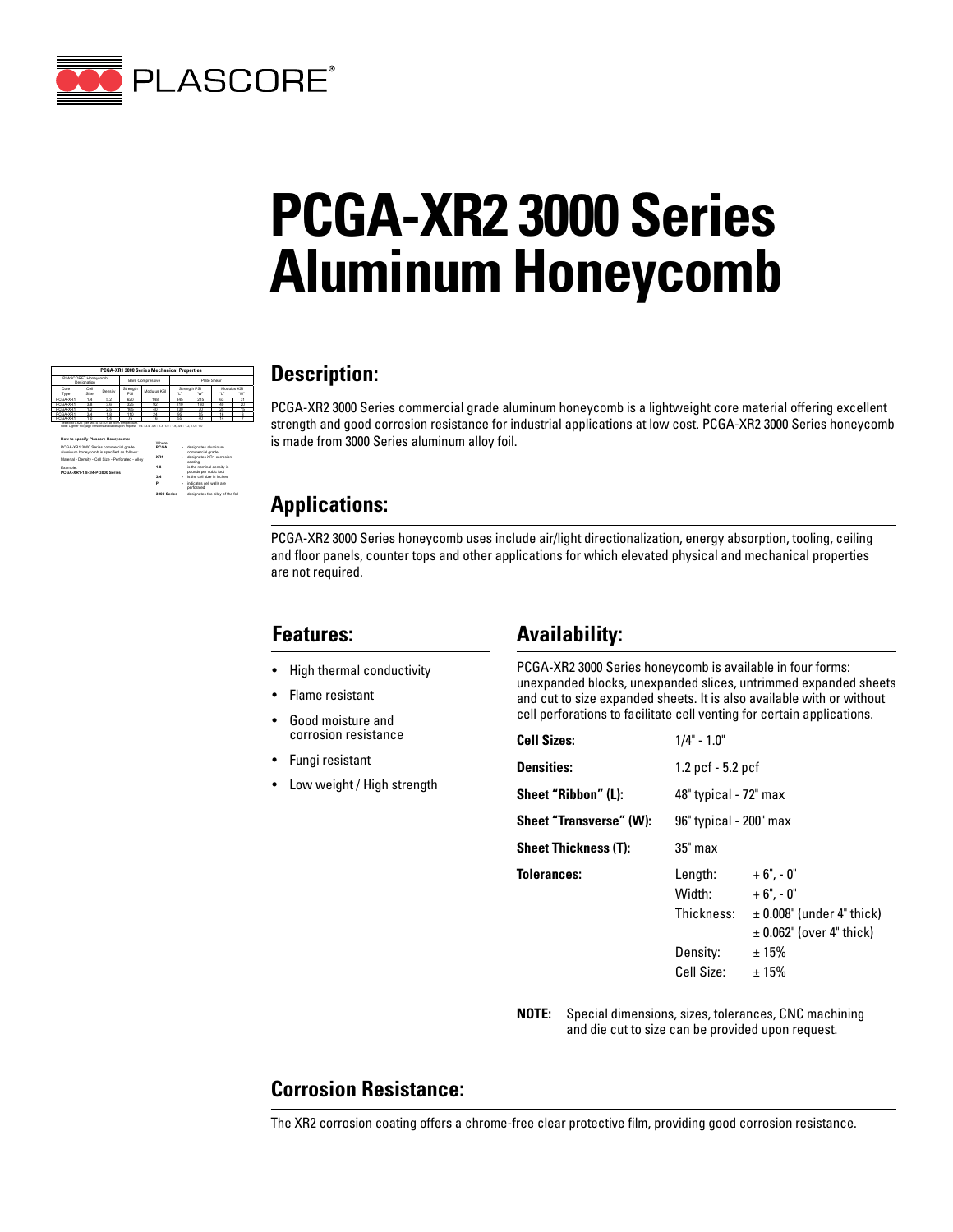

# **PCGA-XR2 3000 Series Aluminum Honeycomb**

| <b>PCGA-XR1 3000 Series Mechanical Properties</b>                                                                                                                      |              |         |                         |             |             |                    |     |                  |
|------------------------------------------------------------------------------------------------------------------------------------------------------------------------|--------------|---------|-------------------------|-------------|-------------|--------------------|-----|------------------|
| PLASCORE <sup>®</sup> Honeycomb<br>Designation                                                                                                                         |              |         | <b>Bare Compressive</b> |             | Plate Shear |                    |     |                  |
| Core<br>Type                                                                                                                                                           | Cell<br>Size | Density | Strength<br>PRI         | Modulus KSI |             | Strength PSI<br>"W |     | Modulus KSI<br>w |
| PO3A-XR1                                                                                                                                                               | 14           | ਨਾ      | 620                     | 148         | 345         | 215                | रर  | τ                |
| PO3A-XR1                                                                                                                                                               | ফ            | 3.6     | 325                     | ফ           | 210         | 130                | zn. | a                |
| PO3A-XR1                                                                                                                                                               | 372          | ञ्ज     | 165                     | zn.         | ৰকা         | m                  | ᆓ   | 77               |
| PO3A-XR1                                                                                                                                                               | ख            | 18      | 110                     | ॠ           | 95          | 77                 | 孫   |                  |
| PCGA-XRT                                                                                                                                                               | রক           | 12      | 75                      | 16          | 33          | 40                 | 14  |                  |
| Texted at 0.625" per MIL-STD-401 at room temperature.<br>Note: Lighter foll gage versions available upon request 1/4 - 3.4, 3/8 - 2.3, 1/2 - 1.8, 3/4 - 1.2, 1.0 - 1.0 |              |         |                         |             |             |                    |     |                  |

| How to specify Plascore Honeycomb:                                                   | <b>Where:</b> |                                                    |
|--------------------------------------------------------------------------------------|---------------|----------------------------------------------------|
| PCGA-XR1 3000 Series commercial grade<br>aluminum honeycomb is specified as follows: | PCGA          | designates aluminum<br>commercial grade            |
| Material - Density - Cell Size - Perforated - Alloy                                  | XR1           | designates XR1 corrosion<br>coating                |
| Fyamnle:<br>PCGA-XR1-1 8-3/4-P-3000 Series                                           | 18            | is the nominal density in<br>pounds per cubic foot |
|                                                                                      | 3/4           | is the cell size in inches.                        |
|                                                                                      | P             | indicates cell walls are<br>nerforated             |

3000 Series designates the alloy of the foil

#### **Description:**

PCGA-XR2 3000 Series commercial grade aluminum honeycomb is a lightweight core material offering excellent strength and good corrosion resistance for industrial applications at low cost. PCGA-XR2 3000 Series honeycomb is made from 3000 Series aluminum alloy foil.

#### **Applications:**

PCGA-XR2 3000 Series honeycomb uses include air/light directionalization, energy absorption, tooling, ceiling and floor panels, counter tops and other applications for which elevated physical and mechanical properties are not required.

#### **Features:**

- High thermal conductivity
- Flame resistant
- Good moisture and corrosion resistance
- Fungi resistant
- Low weight / High strength

## **Availability:**

PCGA-XR2 3000 Series honeycomb is available in four forms: unexpanded blocks, unexpanded slices, untrimmed expanded sheets and cut to size expanded sheets. It is also available with or without cell perforations to facilitate cell venting for certain applications.

| <b>Cell Sizes:</b>          | $1/4" - 1.0"$                                             |                                                                                                      |  |  |
|-----------------------------|-----------------------------------------------------------|------------------------------------------------------------------------------------------------------|--|--|
| <b>Densities:</b>           | 1.2 pcf - 5.2 pcf                                         |                                                                                                      |  |  |
| Sheet "Ribbon" (L):         | 48" typical - 72" max                                     |                                                                                                      |  |  |
| Sheet "Transverse" (W):     | 96" typical - 200" max                                    |                                                                                                      |  |  |
| <b>Sheet Thickness (T):</b> | $35$ " max                                                |                                                                                                      |  |  |
| <b>Tolerances:</b>          | Length:<br>Width:<br>Thickness:<br>Density:<br>Cell Size: | $+6" -0"$<br>$+6" -0"$<br>$\pm$ 0.008" (under 4" thick)<br>± 0.062" (over 4" thick)<br>±15%<br>± 15% |  |  |

**NOTE:** Special dimensions, sizes, tolerances, CNC machining and die cut to size can be provided upon request.

## **Corrosion Resistance:**

The XR2 corrosion coating offers a chrome-free clear protective film, providing good corrosion resistance.